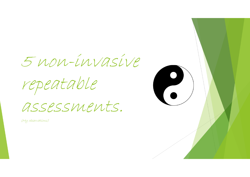5 non-invasive

repeatable

assessments.

(My observations)

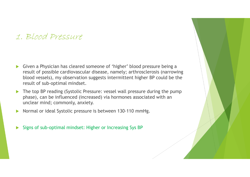### 1. Blood Pressure

- $\blacktriangleright$  Given a Physician has cleared someone of 'higher' blood pressure being a result of possible cardiovascular disease, namely; arthrosclerosis (narrowing blood vessels), my observation suggests intermittent higher BP could be the result of sub-optimal mindset.
- $\blacktriangleright$  The top BP reading (Systolic Pressure: vessel wall pressure during the pump phase), can be influenced (increased) via hormones associated with an unclear mind; commonly, anxiety.
- $\blacktriangleright$ Normal or ideal Systolic pressure is between 130-110 mmHg.
- $\blacktriangleright$ Signs of sub-optimal mindset: Higher or Increasing Sys BP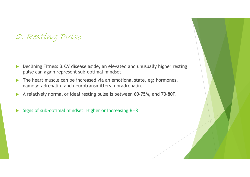## 2. Resting Pulse

- $\blacktriangleright$  Declining Fitness & CV disease aside, an elevated and unusually higher resting pulse can again represent sub-optimal mindset.
- $\blacktriangleright$  The heart muscle can be increased via an emotional state, eg; hormones, namely: adrenalin, and neurotransmitters, noradrenalin.
- $\blacktriangleright$ A relatively normal or ideal resting pulse is between 60-75M, and 70-80F.
- $\blacktriangleright$ Signs of sub-optimal mindset: Higher or Increasing RHR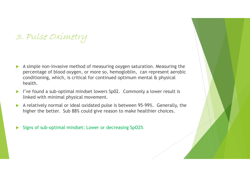# 3. Pulse Oximetry

- A simple non-invasive method of measuring oxygen saturation. Measuring the percentage of blood oxygen, or more so, hemogloblin, can represent aerobic conditioning, which, is critical for continued optimum mental & physical health.
- I've found a sub-optimal mindset lowers Sp02. Commonly a lower result is linked with minimal physical movement.
- $\blacktriangleright$  A relatively normal or ideal oxidated pulse is between 95-99%. Generally, the higher the better. Sub 88% could give reason to make healthier choices.
- $\blacktriangleright$ Signs of sub-optimal mindset: Lower or decreasing SpO2%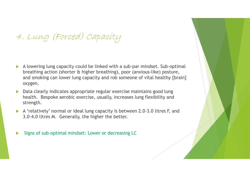# 4. Lung (Forced) Capacity

- A lowering lung capacity could be linked with a sub-par mindset. Sub-optimal breathing action (shorter & higher breathing), poor (anxious-like) posture, and smoking can lower lung capacity and rob someone of vital healthy [brain] oxygen.
- $\blacktriangleright$  Data clearly indicates appropriate regular exercise maintains good lung health. Bespoke aerobic exercise, usually, increases lung flexibility and strength.
- A 'relatively' normal or ideal lung capacity is between 2.0-3.0 litres F, and <br>2.0.4.0 litres M. Generally the higher the hatter 3.0-4.0 litres M. Generally, the higher the better.

 $\blacktriangleright$ Signs of sub-optimal mindset: Lower or decreasing LC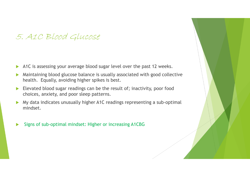### 5. A1C Blood Glucose

- $\blacktriangleright$ A1C is assessing your average blood sugar level over the past 12 weeks.
- $\blacktriangleright$  Maintaining blood glucose balance is usually associated with good collective health. Equally, avoiding higher spikes is best.
- $\blacktriangleright$  Elevated blood sugar readings can be the result of; inactivity, poor food choices, anxiety, and poor sleep patterns.
- $\blacktriangleright$  My data indicates unusually higher A1C readings representing a sub-optimal mindset.
- $\blacktriangleright$ Signs of sub-optimal mindset: Higher or increasing A1CBG